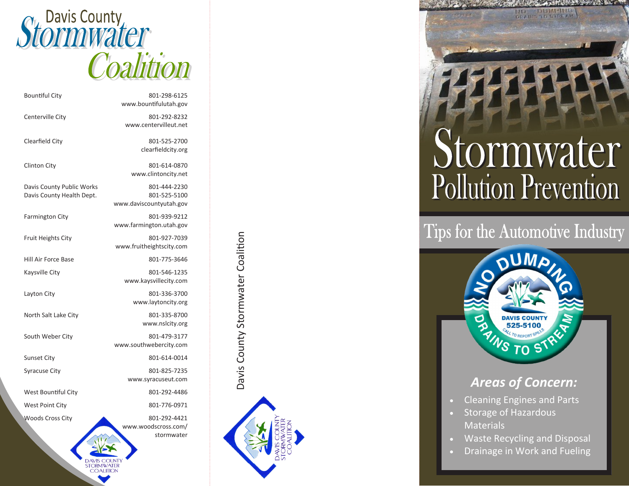

| <b>Bountiful City</b>                                  | 801-298-6125<br>www.bountifulutah.gov                   |
|--------------------------------------------------------|---------------------------------------------------------|
| Centerville City                                       | 801-292-8232<br>www.centervilleut.net                   |
| Clearfield City                                        | 801-525-2700<br>clearfieldcity.org                      |
| <b>Clinton City</b>                                    | 801-614-0870<br>www.clintoncity.net                     |
| Davis County Public Works<br>Davis County Health Dept. | 801-444-2230<br>801-525-5100<br>www.daviscountyutah.gov |
| <b>Farmington City</b>                                 | 801-939-9212<br>www.farmington.utah.gov                 |
| <b>Fruit Heights City</b>                              | 801-927-7039<br>www.fruitheightscity.com                |
| Hill Air Force Base                                    | 801-775-3646                                            |
| Kaysville City                                         | 801-546-1235<br>www.kaysvillecity.com                   |
| Layton City                                            | 801-336-3700<br>www.laytoncity.org                      |
| North Salt Lake City                                   | 801-335-8700<br>www.nslcity.org                         |
| South Weber City                                       | 801-479-3177<br>www.southwebercity.com                  |
| <b>Sunset City</b>                                     | 801-614-0014                                            |
| <b>Syracuse City</b>                                   | 801-825-7235<br>www.syracuseut.com                      |
| West Bountiful City                                    | 801-292-4486                                            |
| <b>West Point City</b>                                 | 801-776-0971                                            |
| <b>Woods Cross City</b>                                | 801-292-4421<br>www.woodscross.com/<br>stormwater       |

AVIS COLNI **STORMWATER COALITION** 



Stormwater **Pollution Prevention** 

DRANIS TO BYREAM



## *Areas of Concern: Areas of Concern:*

- Cleaning Engines and Parts
- Storage of Hazardous Storage of Hazardous Materials Materials
- Waste Recycling and Disposal
- Drainage in Work and Fueling